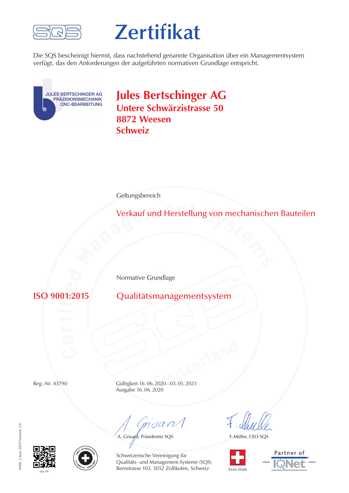

# **Zertifikat**

Die SQS bescheinigt hiermit, dass nachstehend genannte Organisation über ein Managementsystem verfügt, das den Anforderungen der aufgeführten normativen Grundlage entspricht.



**Jules Bertschinger AG Untere Schwärzistrasse 50 8872 Weesen Schweiz**

**Geltungsbereich** 

**<sup>M</sup>anagemen<sup>t</sup> <sup>S</sup>ystem<sup>s</sup>** Verkauf und Herstellung von mechanischen Bauteilen

**by** Normative Grundlage

**isO** 9001:2015

**ISO 9001:2015** Qualitätsmanagementsystem

**Switzerland** Reg.-Nr. 43790 Gültigkeit 16.06.2020–03.05.2023 Ausgabe 16.06.2020

Grisant

A. Grisard, Präsidentin SQS

F. Müller, CEO SQS



Partner of





Schweizerische Vereinigung für Qualitäts- und Management-Systeme (SQS) Bernstrasse 103, 3052 Zollikofen, Schweiz